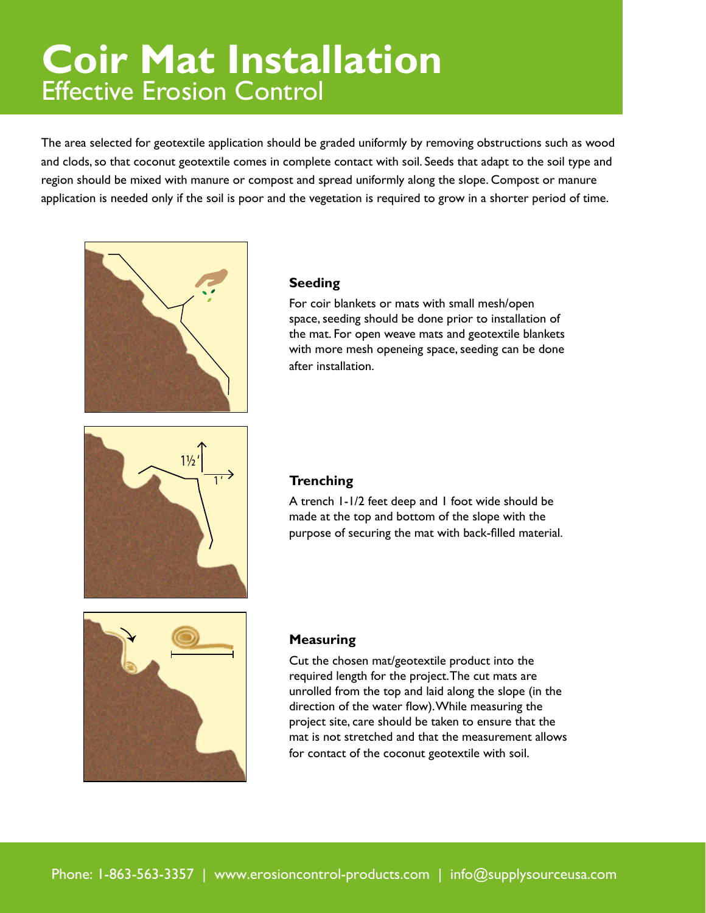### **Coir Mat Installation** Effective Erosion Control **Coir Mat Installation Coir Mat Installation Coir Mat Installation**

The area selected for geotextile application should be graded uniformly by removing obstructions such as wood and clods, so that coconut geotextile comes in complete contact with soil. Seeds that adapt to the soil type and region should be mixed with manure or compost and spread uniformly along the slope. Compost or manure application is needed only if the soil is poor and the vegetation is required to grow in a shorter period of time.



Effective Erosion Control

Effective Erosion Control

## **Seeding**

For coir blankets or mats with small mesh/open space, seeding should be done prior to installation of the mat. For open weave mats and geotextile blankets with more mesh openeing space, seeding can be done after installation.



## **Trenching**

A trench 1-1/2 feet deep and 1 foot wide should be made at the top and bottom of the slope with the purpose of securing the mat with back-filled material.



## **Measuring**

Cut the chosen mat/geotextile product into the required length for the project. The cut mats are unrolled from the top and laid along the slope (in the direction of the water flow). While measuring the project site, care should be taken to ensure that the mat is not stretched and that the measurement allows for contact of the coconut geotextile with soil.